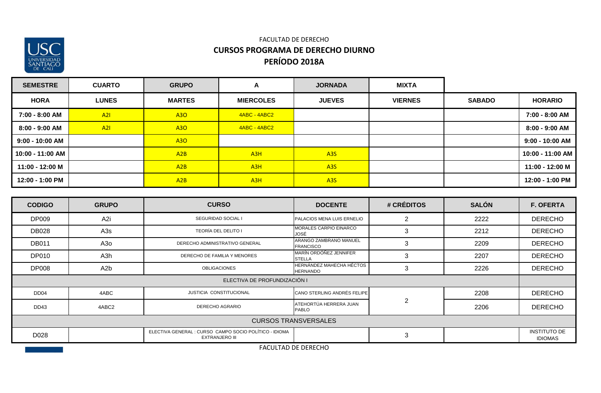

### FACULTAD DE DERECHO **CURSOS PROGRAMA DE DERECHO DIURNO PERÍODO 2018A**

| <b>SEMESTRE</b>   | <b>CUARTO</b> | <b>GRUPO</b>  | A                | <b>JORNADA</b>   | <b>MIXTA</b>   |               |                   |
|-------------------|---------------|---------------|------------------|------------------|----------------|---------------|-------------------|
| <b>HORA</b>       | <b>LUNES</b>  | <b>MARTES</b> | <b>MIERCOLES</b> | <b>JUEVES</b>    | <b>VIERNES</b> | <b>SABADO</b> | <b>HORARIO</b>    |
| 7:00 - 8:00 AM    | A21           | A30           | 4ABC - 4ABC2     |                  |                |               | 7:00 - 8:00 AM    |
| 8:00 - 9:00 AM    | A21           | A30           | 4ABC - 4ABC2     |                  |                |               | 8:00 - 9:00 AM    |
| $9:00 - 10:00$ AM |               | <b>A30</b>    |                  |                  |                |               | $9:00 - 10:00$ AM |
| 10:00 - 11:00 AM  |               | A2B           | A <sub>3H</sub>  | A <sub>3</sub> S |                |               | 10:00 - 11:00 AM  |
| 11:00 - 12:00 M   |               | A2B           | A3H              | A <sub>3</sub> S |                |               | 11:00 - 12:00 M   |
| 12:00 - 1:00 PM   |               | A2B           | A <sub>3H</sub>  | A <sub>3</sub> S |                |               | 12:00 - 1:00 PM   |

| <b>CODIGO</b>    | <b>GRUPO</b>     | <b>CURSO</b>                                                                    | <b>DOCENTE</b>                              | # CRÉDITOS     | <b>SALÓN</b> | <b>F. OFERTA</b>                      |
|------------------|------------------|---------------------------------------------------------------------------------|---------------------------------------------|----------------|--------------|---------------------------------------|
| <b>DP009</b>     | A <sub>2i</sub>  | SEGURIDAD SOCIAL I                                                              | PALACIOS MENA LUIS ERNELIO                  | 2              | 2222         | <b>DERECHO</b>                        |
| <b>DB028</b>     | A3s              | <b>TEORÍA DEL DELITO I</b>                                                      | MORALES CARPIO EINARCO<br>JOSÉ              | 3              | 2212         | <b>DERECHO</b>                        |
| <b>DB011</b>     | A <sub>3</sub> o | DERECHO ADMINISTRATIVO GENERAL                                                  | ARANGO ZAMBRANO MANUEL<br><b>FRANCISCO</b>  | 3              | 2209         | <b>DERECHO</b>                        |
| <b>DP010</b>     | A3h              | DERECHO DE FAMILIA Y MENORES                                                    | MARÍN ORDÓÑEZ JENNIFER<br><b>STELLA</b>     | 3              | 2207         | <b>DERECHO</b>                        |
| <b>DP008</b>     | A <sub>2</sub> b | <b>OBLIGACIONES</b>                                                             | HERNÁNDEZ MAHECHA HÉCTOS<br><b>HERNANDO</b> | 3              | 2226         | <b>DERECHO</b>                        |
|                  |                  | ELECTIVA DE PROFUNDIZACIÓN I                                                    |                                             |                |              |                                       |
| DD <sub>04</sub> | 4ABC             | JUSTICIA CONSTITUCIONAL                                                         | CANO STERLING ANDRÉS FELIPE                 |                | 2208         | <b>DERECHO</b>                        |
| DD43             | 4ABC2            | DERECHO AGRARIO                                                                 | ATEHORTÚA HERRERA JUAN<br>PABLO             | $\overline{2}$ | 2206         | <b>DERECHO</b>                        |
|                  |                  |                                                                                 | <b>CURSOS TRANSVERSALES</b>                 |                |              |                                       |
| D028             |                  | ELECTIVA GENERAL : CURSO CAMPO SOCIO POLÍTICO - IDIOMA<br><b>EXTRANJERO III</b> |                                             | 3              |              | <b>INSTITUTO DE</b><br><b>IDIOMAS</b> |
|                  |                  |                                                                                 | FACULTAD DE DERECHO                         |                |              |                                       |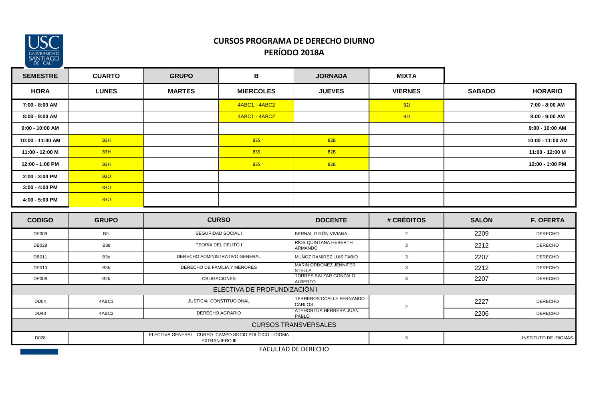

# **CURSOS PROGRAMA DE DERECHO DIURNO PERÍODO 2018A**

| <b>SEMESTRE</b>  | <b>CUARTO</b>    | <b>GRUPO</b>  | B                                                                        | <b>JORNADA</b>                                 | <b>MIXTA</b>   |               |                      |
|------------------|------------------|---------------|--------------------------------------------------------------------------|------------------------------------------------|----------------|---------------|----------------------|
| <b>HORA</b>      | <b>LUNES</b>     | <b>MARTES</b> | <b>MIERCOLES</b>                                                         | <b>JUEVES</b>                                  | <b>VIERNES</b> | <b>SABADO</b> | <b>HORARIO</b>       |
| 7:00 - 8:00 AM   |                  |               | <b>4ABC1 - 4ABC2</b>                                                     |                                                | <b>B21</b>     |               | 7:00 - 8:00 AM       |
| 8:00 - 9:00 AM   |                  |               | 4ABC1 - 4ABC2                                                            |                                                | <b>B21</b>     |               | 8:00 - 9:00 AM       |
| 9:00 - 10:00 AM  |                  |               |                                                                          |                                                |                |               | 9:00 - 10:00 AM      |
| 10:00 - 11:00 AM | B <sub>3</sub> H |               | <b>B3S</b>                                                               | B2B                                            |                |               | 10:00 - 11:00 AM     |
| 11:00 - 12:00 M  | B <sub>3H</sub>  |               | <b>B3S</b>                                                               | B2B                                            |                |               | 11:00 - 12:00 M      |
| 12:00 - 1:00 PM  | B3H              |               | <b>B3S</b>                                                               | B2B                                            |                |               | 12:00 - 1:00 PM      |
| 2:00 - 3:00 PM   | <b>B30</b>       |               |                                                                          |                                                |                |               |                      |
| 3:00 - 4:00 PM   | <b>B30</b>       |               |                                                                          |                                                |                |               |                      |
| 4:00 - 5:00 PM   | <b>B30</b>       |               |                                                                          |                                                |                |               |                      |
|                  |                  | <b>CURSO</b>  |                                                                          |                                                |                |               |                      |
| <b>CODIGO</b>    | <b>GRUPO</b>     |               |                                                                          | <b>DOCENTE</b>                                 | # CRÉDITOS     | <b>SALÓN</b>  | <b>F. OFERTA</b>     |
| <b>DP009</b>     | B <sub>2i</sub>  |               | SEGURIDAD SOCIAL I                                                       | BERNAL GIRÓN VIVIANA                           | $\overline{2}$ | 2209          | <b>DERECHO</b>       |
| <b>DB028</b>     | B <sub>3s</sub>  |               | TEORÍA DEL DELITO I                                                      | RÍOS QUINTANA HEBERTH<br>ARMANDO               | $\mathbf{3}$   | 2212          | <b>DERECHO</b>       |
| <b>DB011</b>     | B <sub>30</sub>  |               | DERECHO ADMINISTRATIVO GENERAL                                           | MUÑOZ RAMIREZ LUIS FABIO                       | $\mathbf{3}$   | 2207          | <b>DERECHO</b>       |
| DP010            | B3h              |               | DERECHO DE FAMILIA Y MENORES                                             | <b>MARIN ORDONEZ JENNIFER</b><br><b>STELLA</b> | $\mathbf{3}$   | 2212          | <b>DERECHO</b>       |
| <b>DP008</b>     | B <sub>2</sub> b |               | <b>OBLIGACIONES</b>                                                      | TORRES SALZAR GONZALO<br><b>ALBERTO</b>        | $\mathbf{3}$   | 2207          | <b>DERECHO</b>       |
|                  |                  |               | ELECTIVA DE PROFUNDIZACIÓN I                                             |                                                |                |               |                      |
| DD <sub>04</sub> | 4ABC1            |               | JUSTICIA CONSTITUCIONAL                                                  | TERREROS CCALLE FERNANDO<br>CARLOS             |                | 2227          | <b>DERECHO</b>       |
| DD43             | 4ABC2            |               | DERECHO AGRARIO                                                          | ATEHORTÚA HERRERA JUAN<br>PABLO                | $\overline{c}$ | 2206          | <b>DERECHO</b>       |
|                  |                  |               |                                                                          | <b>CURSOS TRANSVERSALES</b>                    |                |               |                      |
| D028             |                  |               | ELECTIVA GENERAL : CURSO CAMPO SOCIO POLÍTICO - IDIOMA<br>EXTRANJERO III |                                                | $\mathbf{3}$   |               | INSTITUTO DE IDIOMAS |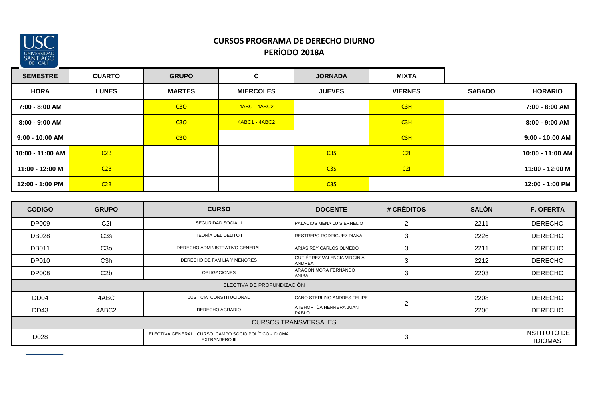

# **CURSOS PROGRAMA DE DERECHO DIURNO PERÍODO 2018A**

| <b>SEMESTRE</b>   | <b>CUARTO</b> | <b>GRUPO</b>  | C                | <b>JORNADA</b>  | <b>MIXTA</b>   |               |                   |
|-------------------|---------------|---------------|------------------|-----------------|----------------|---------------|-------------------|
| <b>HORA</b>       | <b>LUNES</b>  | <b>MARTES</b> | <b>MIERCOLES</b> | <b>JUEVES</b>   | <b>VIERNES</b> | <b>SABADO</b> | <b>HORARIO</b>    |
| 7:00 - 8:00 AM    |               | C3O           | 4ABC - 4ABC2     |                 | C3H            |               | 7:00 - 8:00 AM    |
| 8:00 - 9:00 AM    |               | C3O           | 4ABC1 - 4ABC2    |                 | C3H            |               | 8:00 - 9:00 AM    |
| $9:00 - 10:00$ AM |               | C3O           |                  |                 | C3H            |               | $9:00 - 10:00$ AM |
| 10:00 - 11:00 AM  | C2B           |               |                  | C <sub>35</sub> | C21            |               | 10:00 - 11:00 AM  |
| 11:00 - 12:00 M   | C2B           |               |                  | C <sub>35</sub> | C21            |               | 11:00 - 12:00 M   |
| 12:00 - 1:00 PM   | C2B           |               |                  | C <sub>35</sub> |                |               | 12:00 - 1:00 PM   |

| <b>CODIGO</b>               | <b>GRUPO</b>     | <b>CURSO</b>                                                                    | <b>DOCENTE</b>                               | # CRÉDITOS     | <b>SALÓN</b> | <b>F. OFERTA</b>                      |  |  |
|-----------------------------|------------------|---------------------------------------------------------------------------------|----------------------------------------------|----------------|--------------|---------------------------------------|--|--|
| DP009                       | C <sub>2i</sub>  | SEGURIDAD SOCIAL I                                                              | PALACIOS MENA LUIS ERNELIO                   | 2              | 2211         | <b>DERECHO</b>                        |  |  |
| <b>DB028</b>                | C <sub>3</sub> s | TEORÍA DEL DELITO I                                                             | RESTREPO RODRIGUEZ DIANA                     | 3              | 2226         | <b>DERECHO</b>                        |  |  |
| <b>DB011</b>                | C3 <sub>0</sub>  | DERECHO ADMINISTRATIVO GENERAL                                                  | ARIAS REY CARLOS OLMEDO                      | 3              | 2211         | <b>DERECHO</b>                        |  |  |
| <b>DP010</b>                | C <sub>3</sub> h | DERECHO DE FAMILIA Y MENORES                                                    | GUTIÉRREZ VALENCIA VIRGINIA<br><b>ANDREA</b> | 3              | 2212         | <b>DERECHO</b>                        |  |  |
| <b>DP008</b>                | C2b              | <b>OBLIGACIONES</b>                                                             | ARAGÓN MORA FERNANDO<br>ANIBAL               | 3              | 2203         | <b>DERECHO</b>                        |  |  |
|                             |                  | ELECTIVA DE PROFUNDIZACIÓN I                                                    |                                              |                |              |                                       |  |  |
| DD <sub>04</sub>            | 4ABC             | <b>JUSTICIA CONSTITUCIONAL</b>                                                  | CANO STERLING ANDRÉS FELIPE                  | $\overline{2}$ | 2208         | <b>DERECHO</b>                        |  |  |
| DD <sub>43</sub>            | 4ABC2            | DERECHO AGRARIO                                                                 | ATEHORTÚA HERRERA JUAN<br><b>PABLO</b>       |                | 2206         | <b>DERECHO</b>                        |  |  |
| <b>CURSOS TRANSVERSALES</b> |                  |                                                                                 |                                              |                |              |                                       |  |  |
| D028                        |                  | ELECTIVA GENERAL : CURSO CAMPO SOCIO POLÍTICO - IDIOMA<br><b>EXTRANJERO III</b> |                                              | 3              |              | <b>INSTITUTO DE</b><br><b>IDIOMAS</b> |  |  |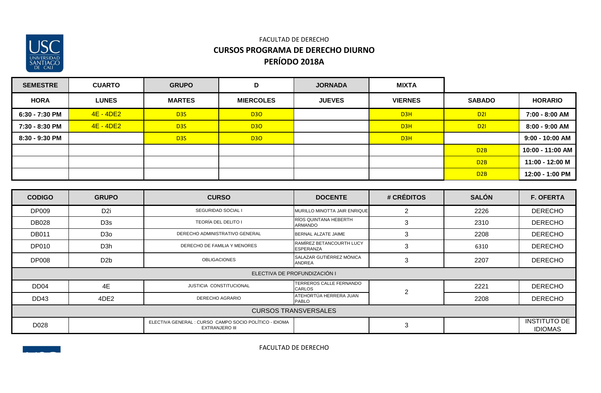

### FACULTAD DE DERECHO **CURSOS PROGRAMA DE DERECHO DIURNO PERÍODO 2018A**

| <b>SEMESTRE</b> | <b>CUARTO</b> | <b>GRUPO</b>     | D                | <b>JORNADA</b> | <b>MIXTA</b>   |               |                   |
|-----------------|---------------|------------------|------------------|----------------|----------------|---------------|-------------------|
| <b>HORA</b>     | <b>LUNES</b>  | <b>MARTES</b>    | <b>MIERCOLES</b> | <b>JUEVES</b>  | <b>VIERNES</b> | <b>SABADO</b> | <b>HORARIO</b>    |
| 6:30 - 7:30 PM  | 4E - 4DE2     | D <sub>35</sub>  | <b>D30</b>       |                | D3H            | D2I           | 7:00 - 8:00 AM    |
| 7:30 - 8:30 PM  | 4E - 4DE2     | D <sub>3</sub> S | <b>D30</b>       |                | D3H            | <b>D21</b>    | 8:00 - 9:00 AM    |
| 8:30 - 9:30 PM  |               | D <sub>3</sub> S | <b>D30</b>       |                | D3H            |               | $9:00 - 10:00$ AM |
|                 |               |                  |                  |                |                | D2B           | 10:00 - 11:00 AM  |
|                 |               |                  |                  |                |                | D2B           | 11:00 - 12:00 M   |
|                 |               |                  |                  |                |                | D2B           | 12:00 - 1:00 PM   |

| <b>CODIGO</b>    | <b>GRUPO</b>                | <b>CURSO</b>                                                                    | <b>DOCENTE</b>                               | # CRÉDITOS     | <b>SALÓN</b> | <b>F. OFERTA</b>                      |  |  |  |  |
|------------------|-----------------------------|---------------------------------------------------------------------------------|----------------------------------------------|----------------|--------------|---------------------------------------|--|--|--|--|
| <b>DP009</b>     | D <sub>2i</sub>             | <b>SEGURIDAD SOCIAL I</b>                                                       | MURILLO MINOTTA JAIR ENRIQUE                 | 2              | 2226         | <b>DERECHO</b>                        |  |  |  |  |
| <b>DB028</b>     | D <sub>3</sub> s            | TEORÍA DEL DELITO I                                                             | RÍOS QUINTANA HEBERTH<br><b>ARMANDO</b>      | 3              | 2310         | <b>DERECHO</b>                        |  |  |  |  |
| <b>DB011</b>     | D <sub>30</sub>             | DERECHO ADMINISTRATIVO GENERAL                                                  | BERNAL ALZATE JAIME                          | 3              | 2208         | <b>DERECHO</b>                        |  |  |  |  |
| <b>DP010</b>     | D <sub>3</sub> h            | DERECHO DE FAMILIA Y MENORES                                                    | RAMÍREZ BETANCOURTH LUCY<br><b>ESPERANZA</b> | 3              | 6310         | <b>DERECHO</b>                        |  |  |  |  |
| <b>DP008</b>     | D <sub>2</sub> b            | <b>OBLIGACIONES</b>                                                             | SALAZAR GUTIÉRREZ MÓNICA<br><b>ANDREA</b>    | 3              | 2207         | <b>DERECHO</b>                        |  |  |  |  |
|                  |                             |                                                                                 | ELECTIVA DE PROFUNDIZACIÓN I                 |                |              |                                       |  |  |  |  |
| DD <sub>04</sub> | 4E                          | JUSTICIA CONSTITUCIONAL                                                         | TERREROS CALLE FERNANDO<br><b>CARLOS</b>     | $\overline{2}$ | 2221         | <b>DERECHO</b>                        |  |  |  |  |
| DD <sub>43</sub> | 4DE2                        | <b>DERECHO AGRARIO</b>                                                          | ATEHORTÚA HERRERA JUAN<br><b>PABLO</b>       |                | 2208         | <b>DERECHO</b>                        |  |  |  |  |
|                  | <b>CURSOS TRANSVERSALES</b> |                                                                                 |                                              |                |              |                                       |  |  |  |  |
| D028             |                             | ELECTIVA GENERAL : CURSO CAMPO SOCIO POLÍTICO - IDIOMA<br><b>EXTRANJERO III</b> |                                              | 3              |              | <b>INSTITUTO DE</b><br><b>IDIOMAS</b> |  |  |  |  |

FACULTAD DE DERECHO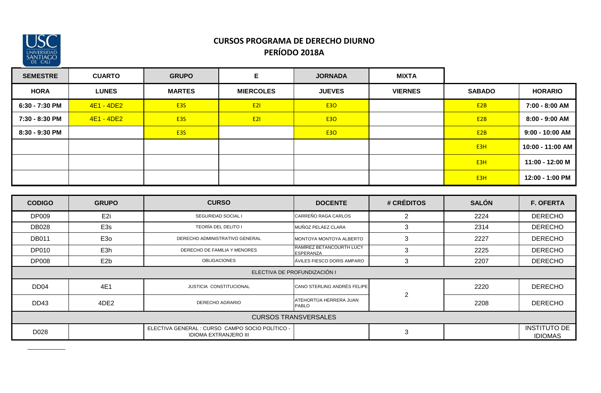

### **CURSOS PROGRAMA DE DERECHO DIURNO PERÍODO 2018A**

| <b>SEMESTRE</b> | <b>CUARTO</b> | <b>GRUPO</b>     | Е                | <b>JORNADA</b> | <b>MIXTA</b>   |                  |                   |
|-----------------|---------------|------------------|------------------|----------------|----------------|------------------|-------------------|
| <b>HORA</b>     | <b>LUNES</b>  | <b>MARTES</b>    | <b>MIERCOLES</b> | <b>JUEVES</b>  | <b>VIERNES</b> | <b>SABADO</b>    | <b>HORARIO</b>    |
| 6:30 - 7:30 PM  | 4E1 - 4DE2    | <b>E3S</b>       | E2I              | <b>E30</b>     |                | E <sub>2</sub> B | 7:00 - 8:00 AM    |
| 7:30 - 8:30 PM  | $4E1 - 4DE2$  | E <sub>3</sub> S | E2I              | <b>E30</b>     |                | E2B              | 8:00 - 9:00 AM    |
| 8:30 - 9:30 PM  |               | <b>E3S</b>       |                  | <b>E30</b>     |                | E <sub>2</sub> B | $9:00 - 10:00$ AM |
|                 |               |                  |                  |                |                | E <sub>3</sub> H | 10:00 - 11:00 AM  |
|                 |               |                  |                  |                |                | E <sub>3</sub> H | 11:00 - 12:00 M   |
|                 |               |                  |                  |                |                | E <sub>3</sub> H | 12:00 - 1:00 PM   |

| <b>CODIGO</b>    | <b>GRUPO</b>                | <b>CURSO</b>                                                                    | <b>DOCENTE</b>                               | # CRÉDITOS     | <b>SALÓN</b> | <b>F. OFERTA</b>                      |  |  |  |  |
|------------------|-----------------------------|---------------------------------------------------------------------------------|----------------------------------------------|----------------|--------------|---------------------------------------|--|--|--|--|
| <b>DP009</b>     | E <sub>2i</sub>             | SEGURIDAD SOCIAL I                                                              | CARREÑO RAGA CARLOS                          | 2              | 2224         | <b>DERECHO</b>                        |  |  |  |  |
| <b>DB028</b>     | E3s                         | TEORÍA DEL DELITO I                                                             | MUÑOZ PELÁEZ CLARA                           | 3              | 2314         | <b>DERECHO</b>                        |  |  |  |  |
| <b>DB011</b>     | E <sub>30</sub>             | DERECHO ADMINISTRATIVO GENERAL                                                  | MONTOYA MONTOYA ALBERTO                      | 3              | 2227         | <b>DERECHO</b>                        |  |  |  |  |
| DP010            | E3h                         | DERECHO DE FAMILIA Y MENORES                                                    | RAMÍREZ BETANCOURTH LUCY<br><b>ESPERANZA</b> | 3              | 2225         | <b>DERECHO</b>                        |  |  |  |  |
| <b>DP008</b>     | E <sub>2</sub> b            | <b>OBLIGACIONES</b>                                                             | ÁVILES FIESCO DORIS AMPARO                   | 3              | 2207         | <b>DERECHO</b>                        |  |  |  |  |
|                  |                             |                                                                                 | ELECTIVA DE PROFUNDIZACIÓN I                 |                |              |                                       |  |  |  |  |
| DD <sub>04</sub> | 4E1                         | <b>JUSTICIA CONSTITUCIONAL</b>                                                  | CANO STERLING ANDRÉS FELIPE                  | $\overline{2}$ | 2220         | <b>DERECHO</b>                        |  |  |  |  |
| <b>DD43</b>      | 4DE2                        | <b>DERECHO AGRARIO</b>                                                          | ATEHORTÚA HERRERA JUAN<br><b>PABLO</b>       |                | 2208         | <b>DERECHO</b>                        |  |  |  |  |
|                  | <b>CURSOS TRANSVERSALES</b> |                                                                                 |                                              |                |              |                                       |  |  |  |  |
| D028             |                             | ELECTIVA GENERAL : CURSO CAMPO SOCIO POLÍTICO -<br><b>IDIOMA EXTRANJERO III</b> |                                              | 3              |              | <b>INSTITUTO DE</b><br><b>IDIOMAS</b> |  |  |  |  |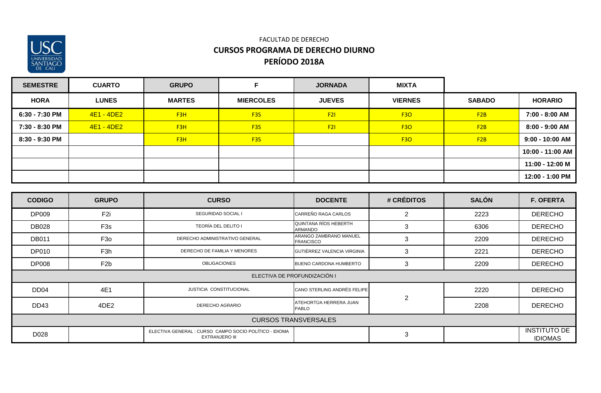

### FACULTAD DE DERECHO **CURSOS PROGRAMA DE DERECHO DIURNO PERÍODO 2018A**

| <b>SEMESTRE</b> | <b>CUARTO</b> | <b>GRUPO</b>     |                  | <b>JORNADA</b> | <b>MIXTA</b>   |               |                   |
|-----------------|---------------|------------------|------------------|----------------|----------------|---------------|-------------------|
| <b>HORA</b>     | <b>LUNES</b>  | <b>MARTES</b>    | <b>MIERCOLES</b> | <b>JUEVES</b>  | <b>VIERNES</b> | <b>SABADO</b> | <b>HORARIO</b>    |
| 6:30 - 7:30 PM  | 4E1 - 4DE2    | F <sub>3</sub> H | F <sub>3</sub> S | F2I            | <b>F30</b>     | F2B           | 7:00 - 8:00 AM    |
| 7:30 - 8:30 PM  | 4E1 - 4DE2    | F3H              | F <sub>3</sub> S | F2I            | <b>F30</b>     | F2B           | 8:00 - 9:00 AM    |
| 8:30 - 9:30 PM  |               | F <sub>3</sub> H | F <sub>3</sub> S |                | <b>F30</b>     | F2B           | $9:00 - 10:00$ AM |
|                 |               |                  |                  |                |                |               | 10:00 - 11:00 AM  |
|                 |               |                  |                  |                |                |               | 11:00 - 12:00 M   |
|                 |               |                  |                  |                |                |               | 12:00 - 1:00 PM   |

| <b>CODIGO</b>    | <b>GRUPO</b>                | <b>CURSO</b>                                                                    | <b>DOCENTE</b>                             | # CRÉDITOS     | <b>SALÓN</b> | <b>F. OFERTA</b>                      |  |  |  |  |
|------------------|-----------------------------|---------------------------------------------------------------------------------|--------------------------------------------|----------------|--------------|---------------------------------------|--|--|--|--|
| <b>DP009</b>     | F <sub>2i</sub>             | SEGURIDAD SOCIAL I                                                              | CARREÑO RAGA CARLOS                        | 2              | 2223         | <b>DERECHO</b>                        |  |  |  |  |
| <b>DB028</b>     | F <sub>3</sub> s            | TEORÍA DEL DELITO I                                                             | <b>QUINTANA RÍOS HEBERTH</b><br>ARMANDO    | 3              | 6306         | <b>DERECHO</b>                        |  |  |  |  |
| <b>DB011</b>     | F <sub>30</sub>             | DERECHO ADMINISTRATIVO GENERAL                                                  | ARANGO ZAMBRANO MANUEL<br><b>FRANCISCO</b> | 3              | 2209         | <b>DERECHO</b>                        |  |  |  |  |
| <b>DP010</b>     | F <sub>3</sub> h            | DERECHO DE FAMILIA Y MENORES                                                    | GUTIÉRREZ VALENCIA VIRGINIA                | 3              | 2221         | <b>DERECHO</b>                        |  |  |  |  |
| <b>DP008</b>     | F <sub>2</sub> b            | <b>OBLIGACIONES</b>                                                             | <b>BUENO CARDONA HUMBERTO</b>              | 3              | 2209         | <b>DERECHO</b>                        |  |  |  |  |
|                  |                             |                                                                                 | ELECTIVA DE PROFUNDIZACIÓN I               |                |              |                                       |  |  |  |  |
| DD <sub>04</sub> | 4E1                         | <b>JUSTICIA CONSTITUCIONAL</b>                                                  | CANO STERLING ANDRÉS FELIPE                |                | 2220         | <b>DERECHO</b>                        |  |  |  |  |
| DD <sub>43</sub> | 4DE2                        | DERECHO AGRARIO                                                                 | ATEHORTÚA HERRERA JUAN<br><b>PABLO</b>     | $\overline{2}$ | 2208         | <b>DERECHO</b>                        |  |  |  |  |
|                  | <b>CURSOS TRANSVERSALES</b> |                                                                                 |                                            |                |              |                                       |  |  |  |  |
| D028             |                             | ELECTIVA GENERAL : CURSO CAMPO SOCIO POLÍTICO - IDIOMA<br><b>EXTRANJERO III</b> |                                            | $\mathbf{3}$   |              | <b>INSTITUTO DE</b><br><b>IDIOMAS</b> |  |  |  |  |